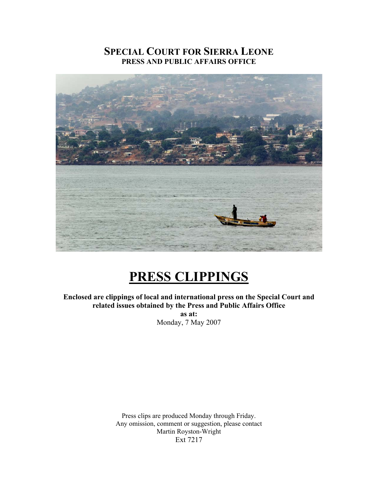# **SPECIAL COURT FOR SIERRA LEONE PRESS AND PUBLIC AFFAIRS OFFICE**



# **PRESS CLIPPINGS**

**Enclosed are clippings of local and international press on the Special Court and related issues obtained by the Press and Public Affairs Office as at:** 

Monday, 7 May 2007

Press clips are produced Monday through Friday. Any omission, comment or suggestion, please contact Martin Royston-Wright Ext 7217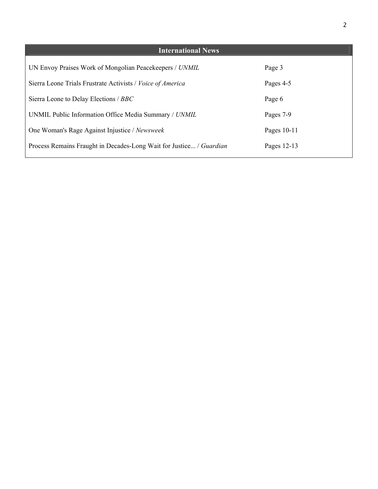| <b>International News</b>                                           |             |
|---------------------------------------------------------------------|-------------|
| UN Envoy Praises Work of Mongolian Peacekeepers / UNMIL             | Page 3      |
| Sierra Leone Trials Frustrate Activists / Voice of America          | Pages 4-5   |
| Sierra Leone to Delay Elections / BBC                               | Page 6      |
| UNMIL Public Information Office Media Summary / UNMIL               | Pages 7-9   |
| One Woman's Rage Against Injustice / Newsweek                       | Pages 10-11 |
| Process Remains Fraught in Decades-Long Wait for Justice / Guardian | Pages 12-13 |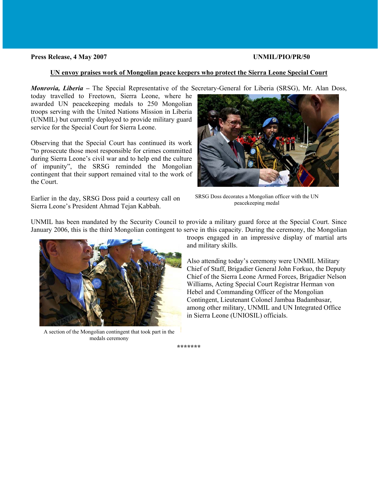#### **Press Release, 4 May 2007 UNMIL/PIO/PR/50**

#### **UN envoy praises work of Mongolian peace keepers who protect the Sierra Leone Special Court**

*Monrovia, Liberia –* The Special Representative of the Secretary-General for Liberia (SRSG), Mr. Alan Doss,

today travelled to Freetown, Sierra Leone, where he awarded UN peacekeeping medals to 250 Mongolian troops serving with the United Nations Mission in Liberia (UNMIL) but currently deployed to provide military guard service for the Special Court for Sierra Leone.

Observing that the Special Court has continued its work "to prosecute those most responsible for crimes committed during Sierra Leone's civil war and to help end the culture of impunity", the SRSG reminded the Mongolian contingent that their support remained vital to the work of the Court.

Earlier in the day, SRSG Doss paid a courtesy call on SRSG Doss decorates a Mongolian of Sigma Lagranic Proceeding Mathematic Sigma Lagranic Proceeding medal Sierra Leone's President Ahmad Tejan Kabbah.



SRSG Doss decorates a Mongolian officer with the UN

UNMIL has been mandated by the Security Council to provide a military guard force at the Special Court. Since January 2006, this is the third Mongolian contingent to serve in this capacity. During the ceremony, the Mongolian



A section of the Mongolian contingent that took part in the medals ceremony

troops engaged in an impressive display of martial arts and military skills.

Also attending today's ceremony were UNMIL Military Chief of Staff, Brigadier General John Forkuo, the Deputy Chief of the Sierra Leone Armed Forces, Brigadier Nelson Williams, Acting Special Court Registrar Herman von Hebel and Commanding Officer of the Mongolian Contingent, Lieutenant Colonel Jambaa Badambasar, among other military, UNMIL and UN Integrated Office in Sierra Leone (UNIOSIL) officials.

**\*\*\*\*\*\*\***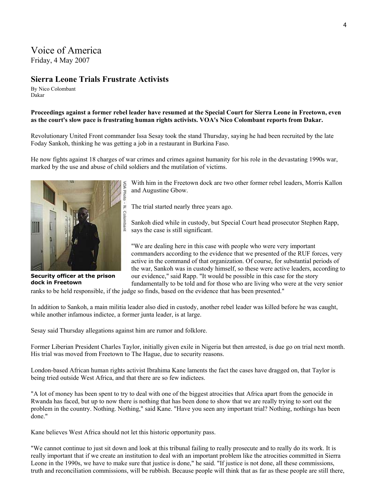# Voice of America

Friday, 4 May 2007

## **Sierra Leone Trials Frustrate Activists**

By Nico Colombant Dakar

### **Proceedings against a former rebel leader have resumed at the Special Court for Sierra Leone in Freetown, even as the court's slow pace is frustrating human rights activists. VOA's Nico Colombant reports from Dakar.**

Revolutionary United Front commander Issa Sesay took the stand Thursday, saying he had been recruited by the late Foday Sankoh, thinking he was getting a job in a restaurant in Burkina Faso.

He now fights against 18 charges of war crimes and crimes against humanity for his role in the devastating 1990s war, marked by the use and abuse of child soldiers and the mutilation of victims.



**Security officer at the prison dock in Freetown** 

With him in the Freetown dock are two other former rebel leaders, Morris Kallon and Augustine Gbow.

The trial started nearly three years ago.

Sankoh died while in custody, but Special Court head prosecutor Stephen Rapp, says the case is still significant.

"We are dealing here in this case with people who were very important commanders according to the evidence that we presented of the RUF forces, very active in the command of that organization. Of course, for substantial periods of the war, Sankoh was in custody himself, so these were active leaders, according to our evidence," said Rapp. "It would be possible in this case for the story fundamentally to be told and for those who are living who were at the very senior

ranks to be held responsible, if the judge so finds, based on the evidence that has been presented."

In addition to Sankoh, a main militia leader also died in custody, another rebel leader was killed before he was caught, while another infamous indictee, a former junta leader, is at large.

Sesay said Thursday allegations against him are rumor and folklore.

N. Colombant

Former Liberian President Charles Taylor, initially given exile in Nigeria but then arrested, is due go on trial next month. His trial was moved from Freetown to The Hague, due to security reasons.

London-based African human rights activist Ibrahima Kane laments the fact the cases have dragged on, that Taylor is being tried outside West Africa, and that there are so few indictees.

"A lot of money has been spent to try to deal with one of the biggest atrocities that Africa apart from the genocide in Rwanda has faced, but up to now there is nothing that has been done to show that we are really trying to sort out the problem in the country. Nothing. Nothing," said Kane. "Have you seen any important trial? Nothing, nothings has been done."

Kane believes West Africa should not let this historic opportunity pass.

"We cannot continue to just sit down and look at this tribunal failing to really prosecute and to really do its work. It is really important that if we create an institution to deal with an important problem like the atrocities committed in Sierra Leone in the 1990s, we have to make sure that justice is done," he said. "If justice is not done, all these commissions, truth and reconciliation commissions, will be rubbish. Because people will think that as far as these people are still there,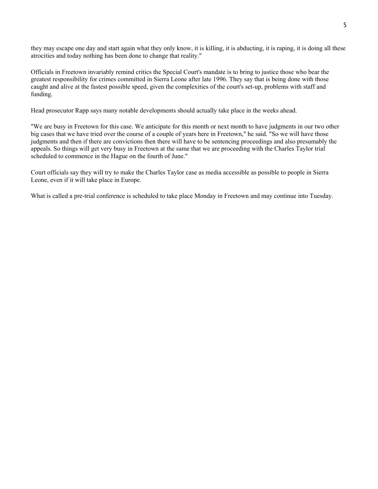they may escape one day and start again what they only know, it is killing, it is abducting, it is raping, it is doing all these atrocities and today nothing has been done to change that reality."

Officials in Freetown invariably remind critics the Special Court's mandate is to bring to justice those who bear the greatest responsibility for crimes committed in Sierra Leone after late 1996. They say that is being done with those caught and alive at the fastest possible speed, given the complexities of the court's set-up, problems with staff and funding.

Head prosecutor Rapp says many notable developments should actually take place in the weeks ahead.

"We are busy in Freetown for this case. We anticipate for this month or next month to have judgments in our two other big cases that we have tried over the course of a couple of years here in Freetown," he said. "So we will have those judgments and then if there are convictions then there will have to be sentencing proceedings and also presumably the appeals. So things will get very busy in Freetown at the same that we are proceeding with the Charles Taylor trial scheduled to commence in the Hague on the fourth of June."

Court officials say they will try to make the Charles Taylor case as media accessible as possible to people in Sierra Leone, even if it will take place in Europe.

What is called a pre-trial conference is scheduled to take place Monday in Freetown and may continue into Tuesday.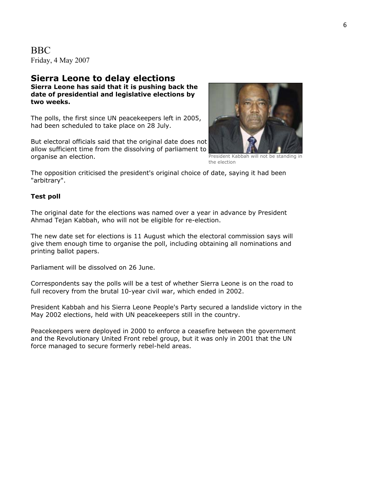BBC Friday, 4 May 2007

### **Sierra Leone to delay elections Sierra Leone has said that it is pushing back the date of presidential and legislative elections by two weeks.**

The polls, the first since UN peacekeepers left in 2005, had been scheduled to take place on 28 July.

But electoral officials said that the original date does not allow sufficient time from the dissolving of parliament to organise an election.



President Kabbah will not be standing in the election

The opposition criticised the president's original choice of date, saying it had been "arbitrary".

### **Test poll**

The original date for the elections was named over a year in advance by President Ahmad Tejan Kabbah, who will not be eligible for re-election.

The new date set for elections is 11 August which the electoral commission says will give them enough time to organise the poll, including obtaining all nominations and printing ballot papers.

Parliament will be dissolved on 26 June.

Correspondents say the polls will be a test of whether Sierra Leone is on the road to full recovery from the brutal 10-year civil war, which ended in 2002.

President Kabbah and his Sierra Leone People's Party secured a landslide victory in the May 2002 elections, held with UN peacekeepers still in the country.

Peacekeepers were deployed in 2000 to enforce a ceasefire between the government and the Revolutionary United Front rebel group, but it was only in 2001 that the UN force managed to secure formerly rebel-held areas.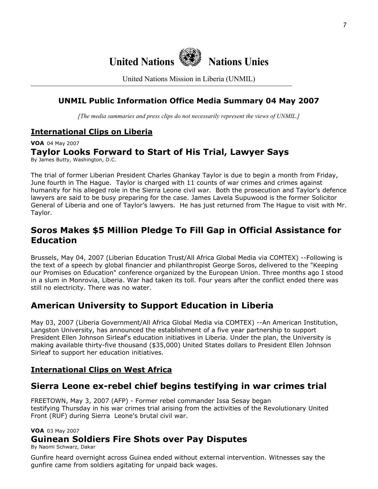

United Nations Mission in Liberia (UNMIL)

# **UNMIL Public Information Office Media Summary 04 May 2007**

*[The media summaries and press clips do not necessarily represent the views of UNMIL.]*

# **International Clips on Liberia**

**VOA** 04 May 2007

### **Taylor Looks Forward to Start of His Trial, Lawyer Says** By James Butty, Washington, D.C.

The trial of former Liberian President Charles Ghankay Taylor is due to begin a month from Friday, June fourth in The Hague. Taylor is charged with 11 counts of war crimes and crimes against humanity for his alleged role in the Sierra Leone civil war. Both the prosecution and Taylor's defence lawyers are said to be busy preparing for the case. James Lavela Supuwood is the former Solicitor General of Liberia and one of Taylor's lawyers. He has just returned from The Hague to visit with Mr. Taylor.

# **Soros Makes \$5 Million Pledge To Fill Gap in Official Assistance for Education**

Brussels, May 04, 2007 (Liberian Education Trust/All Africa Global Media via COMTEX) --Following is the text of a speech by global financier and philanthropist George Soros, delivered to the "Keeping our Promises on Education" conference organized by the European Union. Three months ago I stood in a slum in Monrovia, Liberia. War had taken its toll. Four years after the conflict ended there was still no electricity. There was no water.

# **American University to Support Education in Liberia**

May 03, 2007 (Liberia Government/All Africa Global Media via COMTEX) --An American Institution, Langston University, has announced the establishment of a five year partnership to support President Ellen Johnson Sirleaf's education initiatives in Liberia. Under the plan, the University is making available thirty-five thousand (\$35,000) United States dollars to President Ellen Johnson Sirleaf to support her education initiatives.

# **International Clips on West Africa**

# **Sierra Leone ex-rebel chief begins testifying in war crimes trial**

FREETOWN, May 3, 2007 (AFP) - Former rebel commander Issa Sesay began testifying Thursday in his war crimes trial arising from the activities of the Revolutionary United Front (RUF) during Sierra Leone's brutal civil war.

### **VOA** 03 May 2007

# **Guinean Soldiers Fire Shots over Pay Disputes**

By Naomi Schwarz, Dakar

Gunfire heard overnight across Guinea ended without external intervention. Witnesses say the gunfire came from soldiers agitating for unpaid back wages.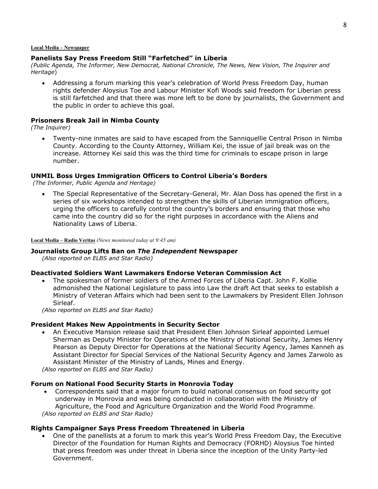#### **Local Media – Newspaper**

### **Panelists Say Press Freedom Still "Farfetched" in Liberia**

*(Public Agenda, The Informer, New Democrat, National Chronicle, The News, New Vision, The Inquirer and Heritage*)

• Addressing a forum marking this year's celebration of World Press Freedom Day, human rights defender Aloysius Toe and Labour Minister Kofi Woods said freedom for Liberian press is still farfetched and that there was more left to be done by journalists, the Government and the public in order to achieve this goal.

#### **Prisoners Break Jail in Nimba County**

*(The Inquirer)* 

• Twenty-nine inmates are said to have escaped from the Sanniquellie Central Prison in Nimba County. According to the County Attorney, William Kei, the issue of jail break was on the increase. Attorney Kei said this was the third time for criminals to escape prison in large number.

#### **UNMIL Boss Urges Immigration Officers to Control Liberia's Borders**

 *(The Informer, Public Agenda and Heritage)* 

• The Special Representative of the Secretary-General, Mr. Alan Doss has opened the first in a series of six workshops intended to strengthen the skills of Liberian immigration officers, urging the officers to carefully control the country's borders and ensuring that those who came into the country did so for the right purposes in accordance with the Aliens and Nationality Laws of Liberia.

**Local Media – Radio Veritas** *(News monitored today at 9:45 am)* 

#### **Journalists Group Lifts Ban on** *The Independent* **Newspaper**

*(Also reported on ELBS and Star Radio)*

#### **Deactivated Soldiers Want Lawmakers Endorse Veteran Commission Act**

• The spokesman of former soldiers of the Armed Forces of Liberia Capt. John F. Kollie admonished the National Legislature to pass into Law the draft Act that seeks to establish a Ministry of Veteran Affairs which had been sent to the Lawmakers by President Ellen Johnson Sirleaf.

*(Also reported on ELBS and Star Radio)*

#### **President Makes New Appointments in Security Sector**

• An Executive Mansion release said that President Ellen Johnson Sirleaf appointed Lemuel Sherman as Deputy Minister for Operations of the Ministry of National Security, James Henry Pearson as Deputy Director for Operations at the National Security Agency, James Kanneh as Assistant Director for Special Services of the National Security Agency and James Zarwolo as Assistant Minister of the Ministry of Lands, Mines and Energy.

*(Also reported on ELBS and Star Radio)*

#### **Forum on National Food Security Starts in Monrovia Today**

• Correspondents said that a major forum to build national consensus on food security got underway in Monrovia and was being conducted in collaboration with the Ministry of Agriculture, the Food and Agriculture Organization and the World Food Programme. *(Also reported on ELBS and Star Radio)*

#### **Rights Campaigner Says Press Freedom Threatened in Liberia**

• One of the panellists at a forum to mark this year's World Press Freedom Day, the Executive Director of the Foundation for Human Rights and Democracy (FORHD) Aloysius Toe hinted that press freedom was under threat in Liberia since the inception of the Unity Party-led Government.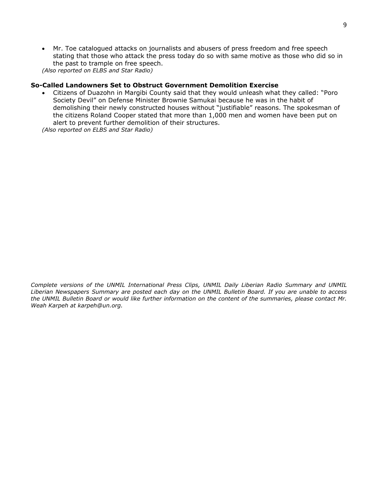• Mr. Toe catalogued attacks on journalists and abusers of press freedom and free speech stating that those who attack the press today do so with same motive as those who did so in the past to trample on free speech.

*(Also reported on ELBS and Star Radio)*

### **So-Called Landowners Set to Obstruct Government Demolition Exercise**

• Citizens of Duazohn in Margibi County said that they would unleash what they called: "Poro Society Devil" on Defense Minister Brownie Samukai because he was in the habit of demolishing their newly constructed houses without "justifiable" reasons. The spokesman of the citizens Roland Cooper stated that more than 1,000 men and women have been put on alert to prevent further demolition of their structures.

*(Also reported on ELBS and Star Radio)* 

*Complete versions of the UNMIL International Press Clips, UNMIL Daily Liberian Radio Summary and UNMIL Liberian Newspapers Summary are posted each day on the UNMIL Bulletin Board. If you are unable to access the UNMIL Bulletin Board or would like further information on the content of the summaries, please contact Mr. Weah Karpeh at karpeh@un.org.*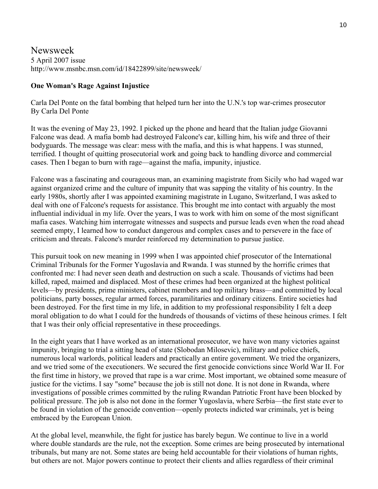Newsweek 5 April 2007 issue http://www.msnbc.msn.com/id/18422899/site/newsweek/

### **One Woman's Rage Against Injustice**

Carla Del Ponte on the fatal bombing that helped turn her into the U.N.'s top war-crimes prosecutor By Carla Del Ponte

It was the evening of May 23, 1992. I picked up the phone and heard that the Italian judge Giovanni Falcone was dead. A mafia bomb had destroyed Falcone's car, killing him, his wife and three of their bodyguards. The message was clear: mess with the mafia, and this is what happens. I was stunned, terrified. I thought of quitting prosecutorial work and going back to handling divorce and commercial cases. Then I began to burn with rage—against the mafia, impunity, injustice.

Falcone was a fascinating and courageous man, an examining magistrate from Sicily who had waged war against organized crime and the culture of impunity that was sapping the vitality of his country. In the early 1980s, shortly after I was appointed examining magistrate in Lugano, Switzerland, I was asked to deal with one of Falcone's requests for assistance. This brought me into contact with arguably the most influential individual in my life. Over the years, I was to work with him on some of the most significant mafia cases. Watching him interrogate witnesses and suspects and pursue leads even when the road ahead seemed empty, I learned how to conduct dangerous and complex cases and to persevere in the face of criticism and threats. Falcone's murder reinforced my determination to pursue justice.

This pursuit took on new meaning in 1999 when I was appointed chief prosecutor of the International Criminal Tribunals for the Former Yugoslavia and Rwanda. I was stunned by the horrific crimes that confronted me: I had never seen death and destruction on such a scale. Thousands of victims had been killed, raped, maimed and displaced. Most of these crimes had been organized at the highest political levels—by presidents, prime ministers, cabinet members and top military brass—and committed by local politicians, party bosses, regular armed forces, paramilitaries and ordinary citizens. Entire societies had been destroyed. For the first time in my life, in addition to my professional responsibility I felt a deep moral obligation to do what I could for the hundreds of thousands of victims of these heinous crimes. I felt that I was their only official representative in these proceedings.

In the eight years that I have worked as an international prosecutor, we have won many victories against impunity, bringing to trial a sitting head of state (Slobodan Milosevic), military and police chiefs, numerous local warlords, political leaders and practically an entire government. We tried the organizers, and we tried some of the executioners. We secured the first genocide convictions since World War II. For the first time in history, we proved that rape is a war crime. Most important, we obtained some measure of justice for the victims. I say "some" because the job is still not done. It is not done in Rwanda, where investigations of possible crimes committed by the ruling Rwandan Patriotic Front have been blocked by political pressure. The job is also not done in the former Yugoslavia, where Serbia—the first state ever to be found in violation of the genocide convention—openly protects indicted war criminals, yet is being embraced by the European Union.

At the global level, meanwhile, the fight for justice has barely begun. We continue to live in a world where double standards are the rule, not the exception. Some crimes are being prosecuted by international tribunals, but many are not. Some states are being held accountable for their violations of human rights, but others are not. Major powers continue to protect their clients and allies regardless of their criminal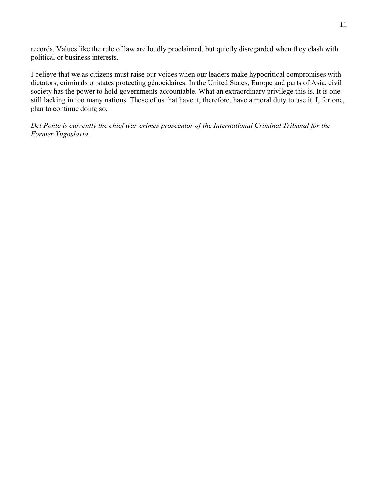records. Values like the rule of law are loudly proclaimed, but quietly disregarded when they clash with political or business interests.

I believe that we as citizens must raise our voices when our leaders make hypocritical compromises with dictators, criminals or states protecting génocidaires. In the United States, Europe and parts of Asia, civil society has the power to hold governments accountable. What an extraordinary privilege this is. It is one still lacking in too many nations. Those of us that have it, therefore, have a moral duty to use it. I, for one, plan to continue doing so.

*Del Ponte is currently the chief war-crimes prosecutor of the International Criminal Tribunal for the Former Yugoslavia.*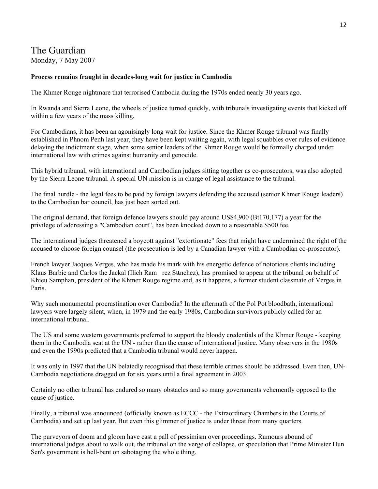# The Guardian

Monday, 7 May 2007

### **Process remains fraught in decades-long wait for justice in Cambodia**

The Khmer Rouge nightmare that terrorised Cambodia during the 1970s ended nearly 30 years ago.

In Rwanda and Sierra Leone, the wheels of justice turned quickly, with tribunals investigating events that kicked off within a few years of the mass killing.

For Cambodians, it has been an agonisingly long wait for justice. Since the Khmer Rouge tribunal was finally established in Phnom Penh last year, they have been kept waiting again, with legal squabbles over rules of evidence delaying the indictment stage, when some senior leaders of the Khmer Rouge would be formally charged under international law with crimes against humanity and genocide.

This hybrid tribunal, with international and Cambodian judges sitting together as co-prosecutors, was also adopted by the Sierra Leone tribunal. A special UN mission is in charge of legal assistance to the tribunal.

The final hurdle - the legal fees to be paid by foreign lawyers defending the accused (senior Khmer Rouge leaders) to the Cambodian bar council, has just been sorted out.

The original demand, that foreign defence lawyers should pay around US\$4,900 (Bt170,177) a year for the privilege of addressing a "Cambodian court", has been knocked down to a reasonable \$500 fee.

The international judges threatened a boycott against "extortionate" fees that might have undermined the right of the accused to choose foreign counsel (the prosecution is led by a Canadian lawyer with a Cambodian co-prosecutor).

French lawyer Jacques Verges, who has made his mark with his energetic defence of notorious clients including Klaus Barbie and Carlos the Jackal (Ilich Ramrez Sแnchez), has promised to appear at the tribunal on behalf of Khieu Samphan, president of the Khmer Rouge regime and, as it happens, a former student classmate of Verges in Paris.

Why such monumental procrastination over Cambodia? In the aftermath of the Pol Pot bloodbath, international lawyers were largely silent, when, in 1979 and the early 1980s, Cambodian survivors publicly called for an international tribunal.

The US and some western governments preferred to support the bloody credentials of the Khmer Rouge - keeping them in the Cambodia seat at the UN - rather than the cause of international justice. Many observers in the 1980s and even the 1990s predicted that a Cambodia tribunal would never happen.

It was only in 1997 that the UN belatedly recognised that these terrible crimes should be addressed. Even then, UN-Cambodia negotiations dragged on for six years until a final agreement in 2003.

Certainly no other tribunal has endured so many obstacles and so many governments vehemently opposed to the cause of justice.

Finally, a tribunal was announced (officially known as ECCC - the Extraordinary Chambers in the Courts of Cambodia) and set up last year. But even this glimmer of justice is under threat from many quarters.

The purveyors of doom and gloom have cast a pall of pessimism over proceedings. Rumours abound of international judges about to walk out, the tribunal on the verge of collapse, or speculation that Prime Minister Hun Sen's government is hell-bent on sabotaging the whole thing.